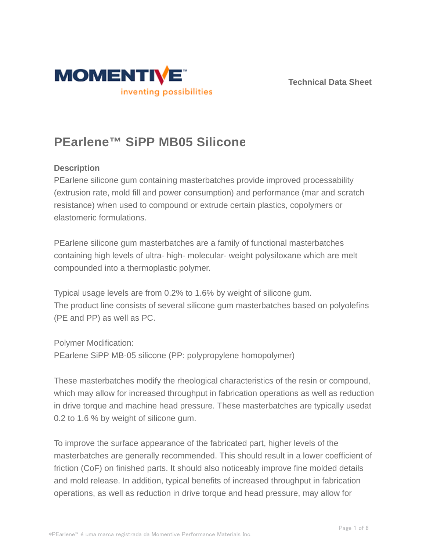



# **PEarlene™ SiPP MB05 Silicone**

# **Description**

PEarlene silicone gum containing masterbatches provide improved processability (extrusion rate, mold fill and power consumption) and performance (mar and scratch resistance) when used to compound or extrude certain plastics, copolymers or elastomeric formulations.

PEarlene silicone gum masterbatches are a family of functional masterbatches containing high levels of ultra- high- molecular- weight polysiloxane which are melt compounded into a thermoplastic polymer.

Typical usage levels are from 0.2% to 1.6% by weight of silicone gum. The product line consists of several silicone gum masterbatches based on polyolefins (PE and PP) as well as PC.

Polymer Modification: PEarlene SiPP MB-05 silicone (PP: polypropylene homopolymer)

These masterbatches modify the rheological characteristics of the resin or compound, which may allow for increased throughput in fabrication operations as well as reduction in drive torque and machine head pressure. These masterbatches are typically usedat 0.2 to 1.6 % by weight of silicone gum.

To improve the surface appearance of the fabricated part, higher levels of the masterbatches are generally recommended. This should result in a lower coefficient of friction (CoF) on finished parts. It should also noticeably improve fine molded details and mold release. In addition, typical benefits of increased throughput in fabrication operations, as well as reduction in drive torque and head pressure, may allow for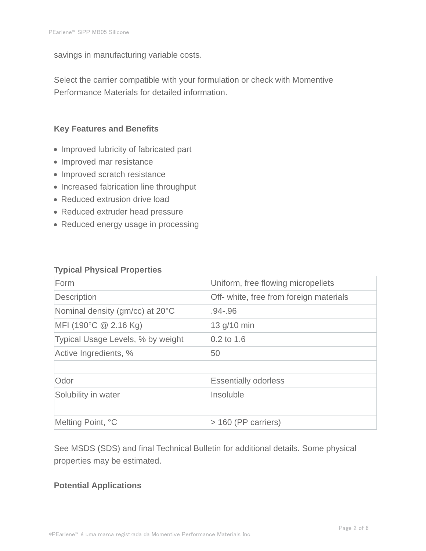savings in manufacturing variable costs.

Select the carrier compatible with your formulation or check with Momentive Performance Materials for detailed information.

### **Key Features and Benefits**

- Improved lubricity of fabricated part
- Improved mar resistance
- Improved scratch resistance
- Increased fabrication line throughput
- Reduced extrusion drive load
- Reduced extruder head pressure
- Reduced energy usage in processing

#### **Typical Physical Properties**

| Form                              | Uniform, free flowing micropellets      |  |
|-----------------------------------|-----------------------------------------|--|
| Description                       | Off- white, free from foreign materials |  |
| Nominal density (gm/cc) at 20°C   | $.94 - .96$                             |  |
| MFI (190°C $@$ 2.16 Kg)           | 13 g/10 min                             |  |
| Typical Usage Levels, % by weight | $0.2$ to 1.6                            |  |
| Active Ingredients, %             | 50                                      |  |
|                                   |                                         |  |
| Odor                              | <b>Essentially odorless</b>             |  |
| Solubility in water               | Insoluble                               |  |
|                                   |                                         |  |
| Melting Point, °C                 | > 160 (PP carriers)                     |  |

See MSDS (SDS) and final Technical Bulletin for additional details. Some physical properties may be estimated.

#### **Potential Applications**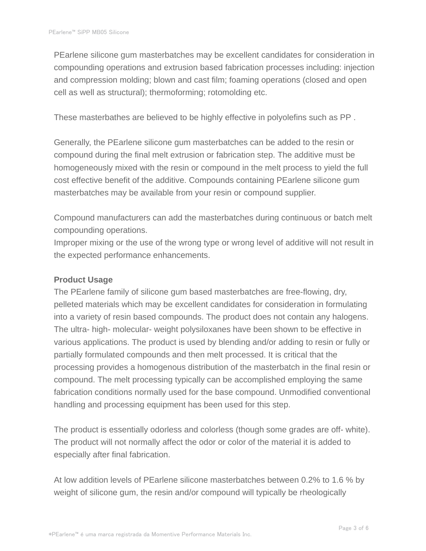PEarlene silicone gum masterbatches may be excellent candidates for consideration in compounding operations and extrusion based fabrication processes including: injection and compression molding; blown and cast film; foaming operations (closed and open cell as well as structural); thermoforming; rotomolding etc.

These masterbathes are believed to be highly effective in polyolefins such as PP .

Generally, the PEarlene silicone gum masterbatches can be added to the resin or compound during the final melt extrusion or fabrication step. The additive must be homogeneously mixed with the resin or compound in the melt process to yield the full cost effective benefit of the additive. Compounds containing PEarlene silicone gum masterbatches may be available from your resin or compound supplier.

Compound manufacturers can add the masterbatches during continuous or batch melt compounding operations.

Improper mixing or the use of the wrong type or wrong level of additive will not result in the expected performance enhancements.

#### **Product Usage**

The PEarlene family of silicone gum based masterbatches are free-flowing, dry, pelleted materials which may be excellent candidates for consideration in formulating into a variety of resin based compounds. The product does not contain any halogens. The ultra- high- molecular- weight polysiloxanes have been shown to be effective in various applications. The product is used by blending and/or adding to resin or fully or partially formulated compounds and then melt processed. It is critical that the processing provides a homogenous distribution of the masterbatch in the final resin or compound. The melt processing typically can be accomplished employing the same fabrication conditions normally used for the base compound. Unmodified conventional handling and processing equipment has been used for this step.

The product is essentially odorless and colorless (though some grades are off- white). The product will not normally affect the odor or color of the material it is added to especially after final fabrication.

At low addition levels of PEarlene silicone masterbatches between 0.2% to 1.6 % by weight of silicone gum, the resin and/or compound will typically be rheologically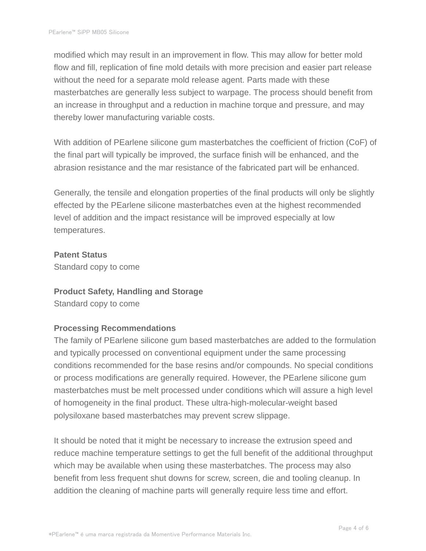modified which may result in an improvement in flow. This may allow for better mold flow and fill, replication of fine mold details with more precision and easier part release without the need for a separate mold release agent. Parts made with these masterbatches are generally less subject to warpage. The process should benefit from an increase in throughput and a reduction in machine torque and pressure, and may thereby lower manufacturing variable costs.

With addition of PEarlene silicone gum masterbatches the coefficient of friction (CoF) of the final part will typically be improved, the surface finish will be enhanced, and the abrasion resistance and the mar resistance of the fabricated part will be enhanced.

Generally, the tensile and elongation properties of the final products will only be slightly effected by the PEarlene silicone masterbatches even at the highest recommended level of addition and the impact resistance will be improved especially at low temperatures.

#### **Patent Status**

Standard copy to come

#### **Product Safety, Handling and Storage**

Standard copy to come

# **Processing Recommendations**

The family of PEarlene silicone gum based masterbatches are added to the formulation and typically processed on conventional equipment under the same processing conditions recommended for the base resins and/or compounds. No special conditions or process modifications are generally required. However, the PEarlene silicone gum masterbatches must be melt processed under conditions which will assure a high level of homogeneity in the final product. These ultra-high-molecular-weight based polysiloxane based masterbatches may prevent screw slippage.

It should be noted that it might be necessary to increase the extrusion speed and reduce machine temperature settings to get the full benefit of the additional throughput which may be available when using these masterbatches. The process may also benefit from less frequent shut downs for screw, screen, die and tooling cleanup. In addition the cleaning of machine parts will generally require less time and effort.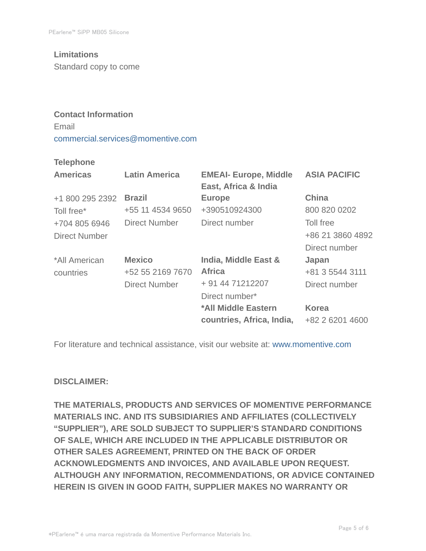# **Limitations**

Standard copy to come

# **Contact Information** Email commercial.services@momentive.com

#### **Telephone**

| <b>Americas</b>      | <b>Latin America</b> | <b>EMEAI- Europe, Middle</b><br>East, Africa & India | <b>ASIA PACIFIC</b> |
|----------------------|----------------------|------------------------------------------------------|---------------------|
| +1 800 295 2392      | <b>Brazil</b>        | <b>Europe</b>                                        | <b>China</b>        |
| Toll free*           | +55 11 4534 9650     | +390510924300                                        | 800 820 0202        |
| +704 805 6946        | <b>Direct Number</b> | Direct number                                        | Toll free           |
| <b>Direct Number</b> |                      |                                                      | +86 21 3860 4892    |
|                      |                      |                                                      | Direct number       |
| *All American        | <b>Mexico</b>        | India, Middle East &                                 | Japan               |
| countries            | +52 55 2169 7670     | <b>Africa</b>                                        | +81 3 5544 3111     |
|                      | <b>Direct Number</b> | + 91 44 71212207                                     | Direct number       |
|                      |                      | Direct number*                                       |                     |
|                      |                      | *All Middle Eastern                                  | <b>Korea</b>        |
|                      |                      | countries, Africa, India,                            | +82 2 6201 4600     |

For literature and technical assistance, visit our website at: www.momentive.com

#### **DISCLAIMER:**

**THE MATERIALS, PRODUCTS AND SERVICES OF MOMENTIVE PERFORMANCE MATERIALS INC. AND ITS SUBSIDIARIES AND AFFILIATES (COLLECTIVELY "SUPPLIER"), ARE SOLD SUBJECT TO SUPPLIER'S STANDARD CONDITIONS OF SALE, WHICH ARE INCLUDED IN THE APPLICABLE DISTRIBUTOR OR OTHER SALES AGREEMENT, PRINTED ON THE BACK OF ORDER ACKNOWLEDGMENTS AND INVOICES, AND AVAILABLE UPON REQUEST. ALTHOUGH ANY INFORMATION, RECOMMENDATIONS, OR ADVICE CONTAINED HEREIN IS GIVEN IN GOOD FAITH, SUPPLIER MAKES NO WARRANTY OR**